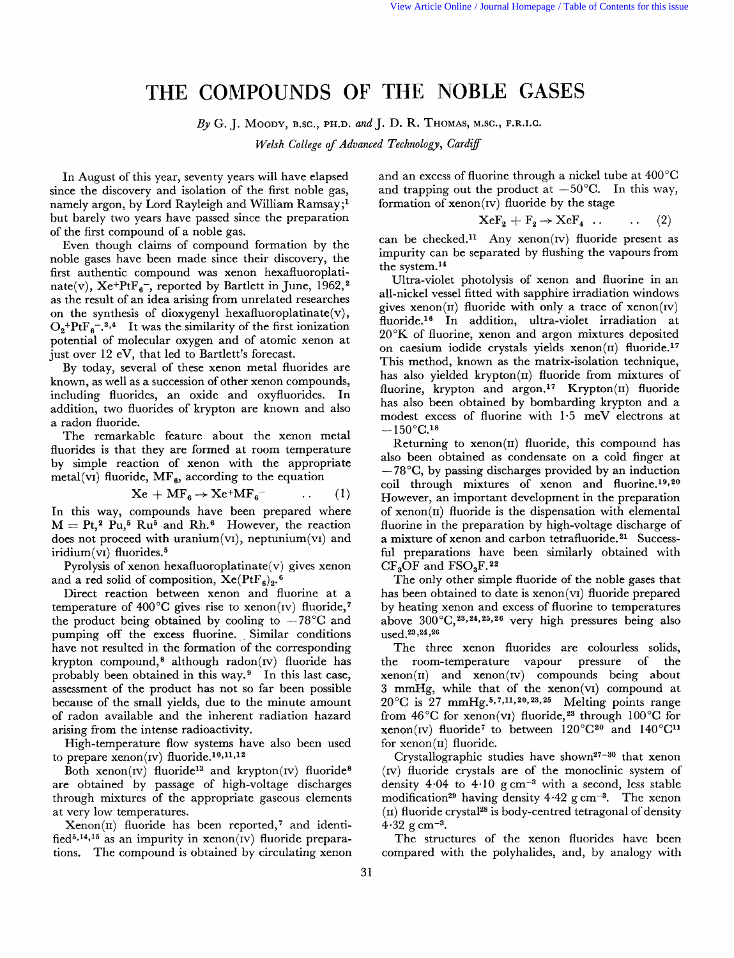## **THE** COMPOUNDS OF **THE; NOBLE** GASES

*By* G. J. **MOODY,** B.SC., **PH.D.** *and* J. D. R. THOMAS, M.SC., F.R.I.C.

*Welsh College of Advanced Technology, Cardiff* 

In August of this year, seventy years will have elapsed since the discovery and isolation of the first noble gas, namely argon, by Lord Rayleigh and William Ramsay;<sup>1</sup> but barely two years have passed since the preparation of the first compound of a noble gas.

Even though claims of compound formation by the noble gases have been made since their discovery, the first authentic compound was xenon hexafluoroplatinate(v),  $Xe^{+}PtF_{6}$ , reported by Bartlett in June, 1962,<sup>2</sup> as the result of an idea arising from unrelated researches<br>on the synthesis of dioxygenyl hexafluoroplatinate(v),  $O_2$ +PtF<sub>6</sub>-.<sup>3,4</sup> It was the similarity of the first ionization potential of molecular oxygen and of atomic xenon at just over 12 eV, that led to Bartlett's forecast.

By today, several of these xenon metal fluorides are known, as well as a succession of other xenon compounds, including fluorides, an oxide and oxyfluorides. In addition, two fluorides of krypton are known and also a radon fluoride.

The remarkable feature about the xenon metal fluorides is that they are formed at room temperature by simple reaction of xenon with the appropriate metal(v<sub>I</sub>) fluoride,  $MF_{6}$ , according to the equation

$$
Xe + MF_6 \rightarrow Xe^+MF_6^- \qquad \dots \qquad (1)
$$

In this way, compounds have been prepared where  $M = Pt<sub>1</sub><sup>2</sup> Pu<sub>1</sub><sup>5</sup> Ru<sub>5</sub> and Rh<sub>6</sub><sup>6</sup> However, the reaction$ does not proceed with uranium(vI), neptunium(vI) and iridium $(vI)$  fluorides.<sup>5</sup>

Pyrolysis of xenon hexafluoroplatinate(v) gives xenon and a red solid of composition,  $Xe(PtF_6)_2$ .<sup>6</sup>

Direct reaction between xenon and fluorine at a temperature of 400 $^{\circ}$ C gives rise to xenon(IV) fluoride,<sup>7</sup> the product being obtained by cooling to  $-78^{\circ}$ C and pumping off the excess fluorine. Similar conditions have not resulted in the formation of the corresponding krypton compound,<sup>8</sup> although radon( $iv$ ) fluoride has probably been obtained in this way.9 In this last case, assessment of the product has not so far been possible because of the small yields, due to the minute amount of radon available and the inherent radiation hazard arising from the intense radioactivity.

High-temperature flow systems have also been used to prepare xenon(IV) fluoride.<sup>10,11,12</sup>

Both xenon(IV) fluoride<sup>13</sup> and krypton(IV) fluoride<sup>8</sup> are obtained by passage of high-voltage discharges through mixtures of the appropriate gaseous elements at very low temperatures.

 $Xenon(II)$  fluoride has been reported,<sup>7</sup> and identified<sup>5,14,15</sup> as an impurity in xenon(IV) fluoride preparations. The compound is obtained by circulating xenon

and an excess of fluorine through a nickel tube at 400°C and trapping out the product at  $-50^{\circ}$ C. In this way, formation of  $xenon(v)$  fluoride by the stage

$$
XeF_2 + F_2 \rightarrow XeF_4 \ldots \qquad (2)
$$

can be checked.<sup>11</sup> Any xenon(IV) fluoride present as impurity can be separated by flushing the vapours from the system.14

Ultra-violet photolysis of xenon and fluorine in an all-nickel vessel fitted with sapphire irradiation windows gives  $xenon(II)$  fluoride with only a trace of  $xenon(IV)$ fluoride.<sup>16</sup> In addition, ultra-violet irradiation at 20°K of fluorine, xenon and argon mixtures deposited on caesium iodide crystals yields  $xenon(II)$  fluoride.<sup>17</sup> This method, known as the matrix-isolation technique, has also yielded krypton $(n)$  fluoride from mixtures of fluorine, krypton and argon.<sup>17</sup> Krypton $(n)$  fluoride has also been obtained by bombarding krypton and a modest excess of fluorine with  $1.5$  meV electrons at  $-150^{\circ}$ C.<sup>18</sup>

Returning to  $xenon(II)$  fluoride, this compound has also been obtained as condensate on a cold finger at  $-78^{\circ}$ C, by passing discharges provided by an induction coil through mixtures of xenon and fluorine.<sup>19,20</sup> However, an important development in the preparation of  $xenon(\mu)$  fluoride is the dispensation with elemental fluorine in the preparation by high-voltage discharge of a mixture of xenon and carbon tetrafluoride. **21** Successful preparations have been similarly obtained with  $CF<sub>3</sub>OF$  and  $FSO<sub>3</sub>F<sup>22</sup>$ 

The only other simple fluoride of the noble gases that has been obtained to date is xenon(v1) fluoride prepared by heating xenon and excess of fluorine to temperatures above  $300^{\circ}$ C,  $23, 24, 25, 26$  very high pressures being also used.<sup>23,24,26</sup>

The three xenon fluorides are colourless solids, the room-temperature vapour pressure of the  $xenon(II)$  and  $xenon(IV)$  compounds being about **3** mmHg, while that of the xenon(v1) compound at  $20^{\circ}$ C is  $27 \text{ mmHg.}^{5,7,11,20,23,25}$  Melting points range from  $46^{\circ}$ C for xenon(v1) fluoride,<sup>23</sup> through 100 $^{\circ}$ C for xenon(IV) fluoride<sup>7</sup> to between  $120^{\circ}C^{20}$  and  $140^{\circ}C^{11}$ for  $xenon(II)$  fluoride.

Crystallographic studies have shown<sup>27-30</sup> that xenon (IV) fluoride crystals are of the monoclinic system of density  $4.04$  to  $4.10~{\rm g~cm^{-3}}$  with a second, less stable modification<sup>29</sup> having density  $4.42$  g cm<sup>-3</sup>. The xenon  $(n)$  fluoride crystal<sup>28</sup> is body-centred tetragonal of density  $4.32 \text{ g cm}^{-3}$ .

The structures of the xenon fluorides have been compared with the polyhalides, and, by analogy with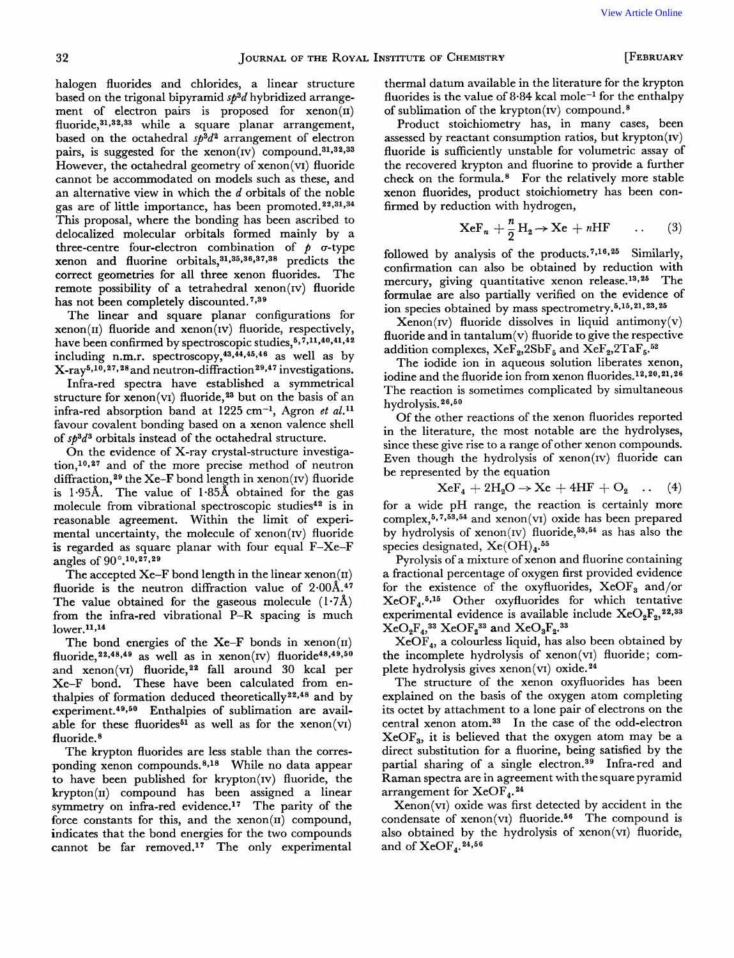halogen fluorides and chlorides, a linear structure based on the trigonal bipyramid *sp3d* hybridized arrangement of electron pairs is proposed for  $xenon(n)$ fluoride,<sup>31,32,33</sup> while a square planar arrangement, based on the octahedral *sp3d2* arrangement of electron pairs, is suggested for the xenon( $iv$ ) compound.<sup>31,32,33</sup> However, the octahedral geometry of xenon(v1) fluoride cannot be accommodated on models such as these, and an alternative view in which the *d* orbitals of the noble gas are of little importance, has been promoted.<sup>22,31,34</sup> This proposal, where the bonding has been ascribed to delocalized molecular orbitals formed mainly by a three-centre four-electron combination of  $\phi$   $\sigma$ -type xenon and fluorine orbitals, $31,35,36,37,38$  predicts the correct geometries for all three xenon fluorides. The remote possibility of a tetrahedral xenon(1v) fluoride has not been completely discounted. **<sup>7939</sup>**

The linear and square planar configurations for  $xenon(II)$  fluoride and  $xenon(IV)$  fluoride, respectively, have been confirmed by spectroscopic studies,<sup>5,7,11,40,41,42</sup>  $\text{including } n.m.r.$   $\text{spectroscopy}, ^{43}, ^{44}, ^{45}, ^{46}$  as well as by  $X-ray<sup>5,10,27,28</sup>$  and neutron-diffraction<sup>29,47</sup> investigations.

Infra-red spectra have established a symmetrical structure for xenon(v1) fluoride,<sup>23</sup> but on the basis of an infra-red absorption band at  $1225 \text{ cm}^{-1}$ , Agron *et al.*<sup>11</sup> favour covalent bonding based on a xenon valence shell of *sp3d3* orbitals instead of the octahedral structure.

On the evidence of X-ray crystal-structure investigation,<sup>10,27</sup> and of the more precise method of neutron diffraction,<sup>29</sup> the Xe-F bond length in xenon(IV) fluoride is 1-95A. The value of 1-85A obtained for the gas molecule from vibrational spectroscopic studies<sup>42</sup> is in reasonable agreement. Within the limit of experimental uncertainty, the molecule of xenon(IV) fluoride **is** regarded as square planar with four equal F-Xe-F angles of 90°.<sup>10,27,29</sup>

The accepted  $Xe-F$  bond length in the linear xenon( $\pi$ ) fluoride is the neutron diffraction value of **2.00A.47**  The value obtained for the gaseous molecule  $(1.7\text{\AA})$ from the infra-red vibrational P-R spacing is much  $lower.11,14$ 

The bond energies of the  $Xe-F$  bonds in  $xenon(II)$ fluoride,  $22,48,49$  as well as in xenon(IV) fluoride<sup>48,49,50</sup> and xenon(vI) fluoride,<sup>22</sup> fall around 30 kcal per Xe-F bond. These have been calculated from enthalpies of formation deduced theoretically $22,48$  and by experiment.<sup>49,50</sup> Enthalpies of sublimation are available for these fluorides<sup>51</sup> as well as for the xenon(v1) fluoride.<sup>8</sup>

The krypton fluorides are less stable than the corresponding xenon compounds.<sup>8,18</sup> While no data appear to have been published for krypton(1v) fluoride, the  $k$ rypton $(II)$  compound has been assigned a linear symmetry on infra-red evidence.17 The parity of the force constants for this, and the  $xenon(II)$  compound, indicates that the bond energies for the two compounds cannot be far removed.<sup>17</sup> The only experimental

thermal datum available in the literature for the krypton fluorides is the value of  $8.84$  kcal mole<sup>-1</sup> for the enthalpy of sublimation of the krypton $(IV)$  compound.<sup>8</sup>

Product stoichiometry has, in many cases, been assessed by reactant consumption ratios, but krypton $(iv)$ fluoride is sufficiently unstable for volumetric assay of the recovered krypton and fluorine to provide a further check on the formula.8 For the relatively more stable xenon fluorides, product stoichiometry has been confirmed by reduction with hydrogen,

$$
XeF_n + \frac{n}{2}H_2 \to Xe + nHF \qquad . \qquad (3)
$$

followed by analysis of the products.<sup>7,16,25</sup> Similarly, confirmation can also be obtained by reduction with mercury, giving quantitative xenon release,  $13,25$ . The mercury, giving quantitative xenon release.<sup>13,25</sup> formulae are also partially verified on the evidence of ion species obtained by mass spectrometry.<sup>5,15,21,23,25</sup>

 $Xenon (iv)$  fluoride dissolves in liquid antimony $(v)$ fluoride and in tantalum(v) fluoride to give the respective addition complexes,  $Xe_{2}^{3}2Sb_{5}^{3}$  and  $Xe_{2}^{3}2TaF_{5}^{52}$ .

The iodide ion in aqueous solution liberates xenon, iodine and the fluoride ion from xenon fluorides.<sup>12,20,21,26</sup> The reaction is sometimes complicated by simultaneous hydrolysis.<sup>26,50</sup>

Of the other reactions of the xenon fluorides reported in the literature, the most notable are the hydrolyses, since these give rise to a range of other xenon compounds. Even though the hydrolysis of  $xenon(iv)$  fluoride can be represented by the equation

$$
XeF_4 + 2H_2O \rightarrow Xe + 4HF + O_2 \quad \dots \quad (4)
$$

for a wide pH range, the reaction is certainly more complex,  $5, 7, 53, 54$  and xenon(v1) oxide has been prepared by hydrolysis of xenon(IV) fluoride,<sup>53,54</sup> as has also the species designated,  $Xe(OH)_{4}$ .<sup>55</sup>

Pyrolysis of a mixture of xenon and fluorine containing a fractional percentage of oxygen first provided evidence for the existence of the oxyfluorides,  $XeOF_3$  and/or  $XeOF<sub>4</sub>$ .<sup>5,15</sup> Other oxyfluorides for which tentative experimental evidence is available include  $XeO_2F_2$ ,  $22,33$  $XeO_2F_4$ ,<sup>33</sup>  $XeOF_2$ <sup>33</sup> and  $XeO_3F_2$ .<sup>33</sup>

 $XeOF<sub>4</sub>$ , a colourless liquid, has also been obtained by the incomplete hydrolysis of xenon(v1) fluoride; complete hydrolysis gives xenon(v<sub>I</sub>) oxide.<sup>24</sup>

The structure of the xenon oxyfluorides has been explained on the basis of the oxygen atom completing its octet by attachment to a lone pair of electrons on the central xenon atom.33 In the case of the odd-electron  $XeOF<sub>3</sub>$ , it is believed that the oxygen atom may be a direct substitution for a fluorine, being satisfied by the partial sharing of a single electron.39 Infra-red and Raman spectra are in agreement with the square pyramid arrangement for XeOF,. **<sup>24</sup>**

Xenon(v1) oxide was first detected by accident in the condensate of  $xenon(vi)$  fluoride.<sup>56</sup> The compound is also obtained by the hydrolysis of xenon(v1) fluoride, and of  $XeOF<sub>4</sub>$ , 24, 56